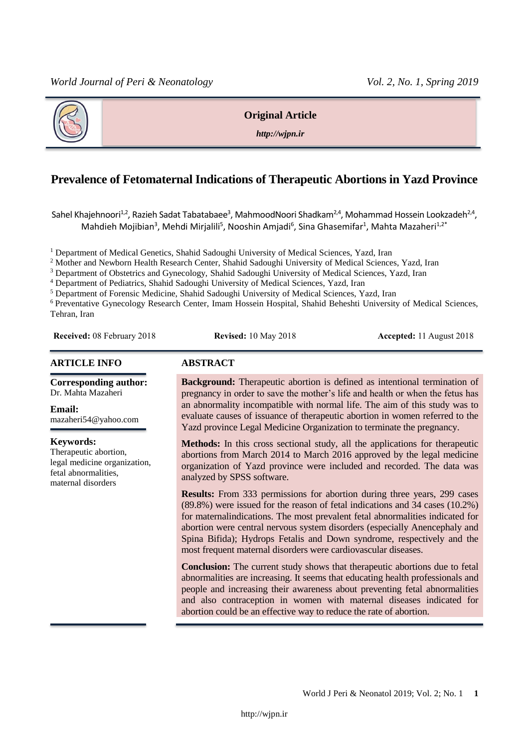

# **Original Article**

*http://wjpn.ir*

# **Prevalence of Fetomaternal Indications of Therapeutic Abortions in Yazd Province**

Sahel Khajehnoori $^{1,2}$ , Razieh Sadat Tabatabaee $^3$ , MahmoodNoori Shadkam $^{2,4}$ , Mohammad Hossein Lookzadeh $^{2,4}$ , Mahdieh Mojibian<sup>3</sup>, Mehdi Mirjalili<sup>5</sup>, Nooshin Amjadi<sup>6</sup>, Sina Ghasemifar<sup>1</sup>, Mahta Mazaheri<sup>1,2\*</sup>

<sup>1</sup> Department of Medical Genetics, Shahid Sadoughi University of Medical Sciences, Yazd, Iran

<sup>2</sup> Mother and Newborn Health Research Center, Shahid Sadoughi University of Medical Sciences, Yazd, Iran

<sup>3</sup> Department of Obstetrics and Gynecology, Shahid Sadoughi University of Medical Sciences, Yazd, Iran

<sup>4</sup> Department of Pediatrics, Shahid Sadoughi University of Medical Sciences, Yazd, Iran

<sup>5</sup> Department of Forensic Medicine, Shahid Sadoughi University of Medical Sciences, Yazd, Iran

<sup>6</sup> Preventative Gynecology Research Center, Imam Hossein Hospital, Shahid Beheshti University of Medical Sciences, Tehran, Iran

**Received:** 08 February 2018 **Revised:** 10 May 2018 **Accepted:** 11 August 2018

#### **ARTICLE INFO ABSTRACT**

**Corresponding author:** Dr. Mahta Mazaheri

**Email:**  [mazaheri54@yahoo.com](mailto:mazaheri54@yahoo.com)

#### **Keywords:**

Therapeutic abortion, legal medicine organization, fetal abnormalities, maternal disorders

**Background:** Therapeutic abortion is defined as intentional termination of pregnancy in order to save the mother's life and health or when the fetus has an abnormality incompatible with normal life. The aim of this study was to evaluate causes of issuance of therapeutic abortion in women referred to the Yazd province Legal Medicine Organization to terminate the pregnancy.

**Methods:** In this cross sectional study, all the applications for therapeutic abortions from March 2014 to March 2016 approved by the legal medicine organization of Yazd province were included and recorded. The data was analyzed by SPSS software.

**Results:** From 333 permissions for abortion during three years, 299 cases (89.8%) were issued for the reason of fetal indications and 34 cases (10.2%) for maternalindications. The most prevalent fetal abnormalities indicated for abortion were central nervous system disorders (especially Anencephaly and Spina Bifida); Hydrops Fetalis and Down syndrome, respectively and the most frequent maternal disorders were cardiovascular diseases.

**Conclusion:** The current study shows that therapeutic abortions due to fetal abnormalities are increasing. It seems that educating health professionals and people and increasing their awareness about preventing fetal abnormalities and also contraception in women with maternal diseases indicated for abortion could be an effective way to reduce the rate of abortion.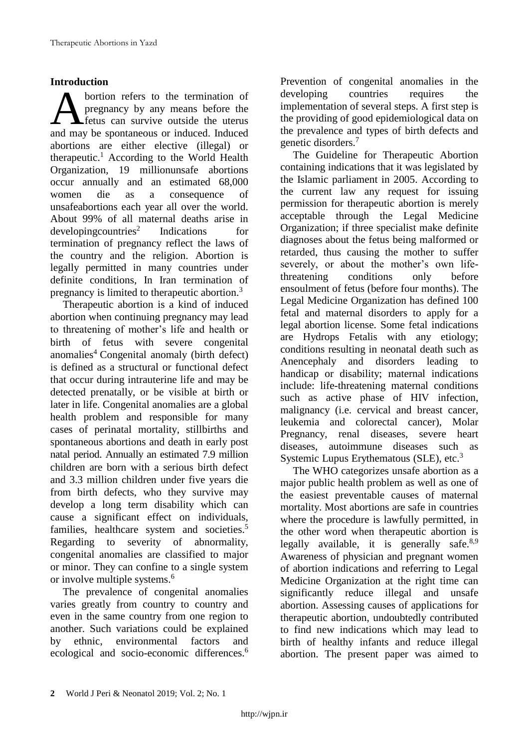# **Introduction**

bortion refers to the termination of pregnancy by any means before the **A** fetus can survive outside the uterus **A** bortion refers to the termination of pregnancy by any means before the fettus can survive outside the uterus and may be spontaneous or induced. Induced abortions are either elective (illegal) or therapeutic.<sup>1</sup> According to the World Health Organization, 19 millionunsafe abortions occur annually and an estimated 68,000 women die as a consequence of unsafeabortions each year all over the world. About 99% of all maternal deaths arise in  $developingcountries<sup>2</sup>$  Indications for termination of pregnancy reflect the laws of the country and the religion. Abortion is legally permitted in many countries under definite conditions, In Iran termination of pregnancy is limited to therapeutic abortion.<sup>3</sup>

Therapeutic abortion is a kind of induced abortion when continuing pregnancy may lead to threatening of mother's life and health or birth of fetus with severe congenital anomalies<sup>4</sup> Congenital anomaly (birth defect) is defined as a structural or functional defect that occur during intrauterine life and may be detected prenatally, or be visible at birth or later in life. Congenital anomalies are a global health problem and responsible for many cases of perinatal mortality, stillbirths and spontaneous abortions and death in early post natal period. Annually an estimated 7.9 million children are born with a serious birth defect and 3.3 million children under five years die from birth defects, who they survive may develop a long term disability which can cause a significant effect on individuals, families, healthcare system and societies.<sup>5</sup> Regarding to severity of abnormality, congenital anomalies are classified to major or minor. They can confine to a single system or involve multiple systems.<sup>6</sup>

The prevalence of congenital anomalies varies greatly from country to country and even in the same country from one region to another. Such variations could be explained by ethnic, environmental factors and ecological and socio-economic differences.<sup>6</sup>

Prevention of congenital anomalies in the developing countries requires the implementation of several steps. A first step is the providing of good epidemiological data on the prevalence and types of birth defects and genetic disorders.<sup>7</sup>

The Guideline for Therapeutic Abortion containing indications that it was legislated by the Islamic parliament in 2005. According to the current law any request for issuing permission for therapeutic abortion is merely acceptable through the Legal Medicine Organization; if three specialist make definite diagnoses about the fetus being malformed or retarded, thus causing the mother to suffer severely, or about the mother's own lifethreatening conditions only before ensoulment of fetus (before four months). The Legal Medicine Organization has defined 100 fetal and maternal disorders to apply for a legal abortion license. Some fetal indications are Hydrops Fetalis with any etiology; conditions resulting in neonatal death such as Anencephaly and disorders leading to handicap or disability; maternal indications include: life-threatening maternal conditions such as active phase of HIV infection, malignancy (i.e. cervical and breast cancer, leukemia and colorectal cancer), Molar Pregnancy, renal diseases, severe heart diseases, autoimmune diseases such as Systemic Lupus Erythematous (SLE), etc.<sup>3</sup>

The WHO categorizes unsafe abortion as a major public health problem as well as one of the easiest preventable causes of maternal mortality. Most abortions are safe in countries where the procedure is lawfully permitted, in the other word when therapeutic abortion is legally available, it is generally safe. $8.9$ Awareness of physician and pregnant women of abortion indications and referring to Legal Medicine Organization at the right time can significantly reduce illegal and unsafe abortion. Assessing causes of applications for therapeutic abortion, undoubtedly contributed to find new indications which may lead to birth of healthy infants and reduce illegal abortion. The present paper was aimed to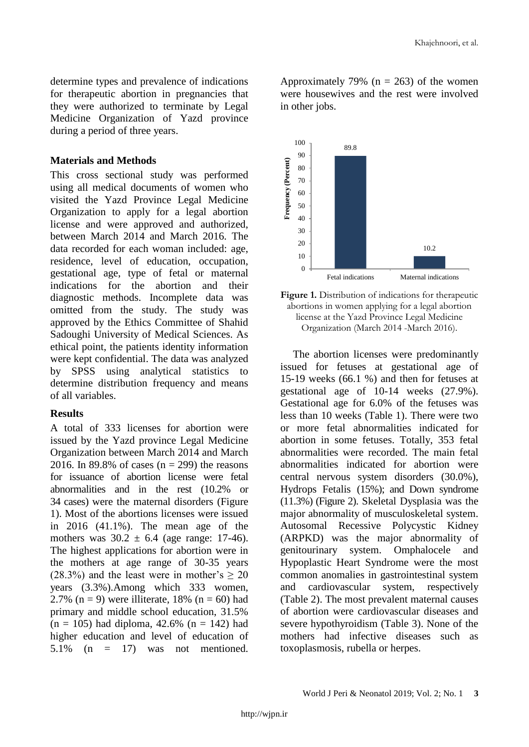determine types and prevalence of indications for therapeutic abortion in pregnancies that they were authorized to terminate by Legal Medicine Organization of Yazd province during a period of three years.

## **Materials and Methods**

This cross sectional study was performed using all medical documents of women who visited the Yazd Province Legal Medicine Organization to apply for a legal abortion license and were approved and authorized, between March 2014 and March 2016. The data recorded for each woman included: age, residence, level of education, occupation, gestational age, type of fetal or maternal indications for the abortion and their diagnostic methods. Incomplete data was omitted from the study. The study was approved by the Ethics Committee of Shahid Sadoughi University of Medical Sciences. As ethical point, the patients identity information were kept confidential. The data was analyzed by SPSS using analytical statistics to determine distribution frequency and means of all variables.

### **Results**

A total of 333 licenses for abortion were issued by the Yazd province Legal Medicine Organization between March 2014 and March 2016. In 89.8% of cases  $(n = 299)$  the reasons for issuance of abortion license were fetal abnormalities and in the rest (10.2% or 34 cases) were the maternal disorders (Figure 1). Most of the abortions licenses were issued in 2016 (41.1%). The mean age of the mothers was  $30.2 \pm 6.4$  (age range: 17-46). The highest applications for abortion were in the mothers at age range of 30-35 years (28.3%) and the least were in mother's  $\geq$  20 years (3.3%).Among which 333 women, 2.7% (n = 9) were illiterate, 18% (n = 60) had primary and middle school education, 31.5%  $(n = 105)$  had diploma, 42.6%  $(n = 142)$  had higher education and level of education of 5.1% (n = 17) was not mentioned.

Approximately 79% ( $n = 263$ ) of the women were housewives and the rest were involved in other jobs.



**Figure 1.** Distribution of indications for therapeutic abortions in women applying for a legal abortion license at the Yazd Province Legal Medicine Organization (March 2014 -March 2016).

The abortion licenses were predominantly issued for fetuses at gestational age of 15-19 weeks (66.1 %) and then for fetuses at gestational age of 10-14 weeks (27.9%). Gestational age for 6.0% of the fetuses was less than 10 weeks (Table 1). There were two or more fetal abnormalities indicated for abortion in some fetuses. Totally, 353 fetal abnormalities were recorded. The main fetal abnormalities indicated for abortion were central nervous system disorders (30.0%), Hydrops Fetalis (15%); and Down syndrome (11.3%) (Figure 2). Skeletal Dysplasia was the major abnormality of musculoskeletal system. Autosomal Recessive Polycystic Kidney (ARPKD) was the major abnormality of genitourinary system. Omphalocele and Hypoplastic Heart Syndrome were the most common anomalies in gastrointestinal system and cardiovascular system, respectively (Table 2). The most prevalent maternal causes of abortion were cardiovascular diseases and severe hypothyroidism (Table 3). None of the mothers had infective diseases such as toxoplasmosis, rubella or herpes.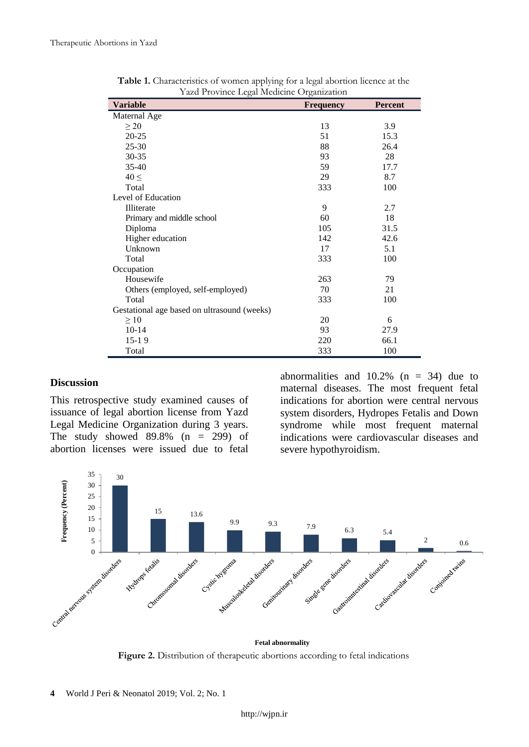| ally 1 Tovalet Legal Intendent Organization |                  |         |  |  |
|---------------------------------------------|------------------|---------|--|--|
| <b>Variable</b>                             | <b>Frequency</b> | Percent |  |  |
| Maternal Age                                |                  |         |  |  |
| $\geq$ 20                                   | 13               | 3.9     |  |  |
| $20 - 25$                                   | 51               | 15.3    |  |  |
| $25 - 30$                                   | 88               | 26.4    |  |  |
| 30-35                                       | 93               | 28      |  |  |
| $35 - 40$                                   | 59               | 17.7    |  |  |
| $40 \leq$                                   | 29               | 8.7     |  |  |
| Total                                       | 333              | 100     |  |  |
| Level of Education                          |                  |         |  |  |
| Illiterate                                  | 9                | 2.7     |  |  |
| Primary and middle school                   | 60               | 18      |  |  |
| Diploma                                     | 105              | 31.5    |  |  |
| Higher education                            | 142              | 42.6    |  |  |
| Unknown                                     | 17               | 5.1     |  |  |
| Total                                       | 333              | 100     |  |  |
| Occupation                                  |                  |         |  |  |
| Housewife                                   | 263              | 79      |  |  |
| Others (employed, self-employed)            | 70               | 21      |  |  |
| Total                                       | 333              | 100     |  |  |
| Gestational age based on ultrasound (weeks) |                  |         |  |  |
| $\geq 10$                                   | 20               | 6       |  |  |
| $10-14$                                     | 93               | 27.9    |  |  |
| $15-19$                                     | 220              | 66.1    |  |  |
| Total                                       | 333              | 100     |  |  |

**Table 1.** Characteristics of women applying for a legal abortion licence at the Yazd Province Legal Medicine Organization

# **Discussion**

This retrospective study examined causes of issuance of legal abortion license from Yazd Legal Medicine Organization during 3 years. The study showed 89.8% (n = 299) of abortion licenses were issued due to fetal

abnormalities and  $10.2\%$  (n = 34) due to maternal diseases. The most frequent fetal indications for abortion were central nervous system disorders, Hydropes Fetalis and Down syndrome while most frequent maternal indications were cardiovascular diseases and severe hypothyroidism.



**Figure 2.** Distribution of therapeutic abortions according to fetal indications **Fetal abnormality**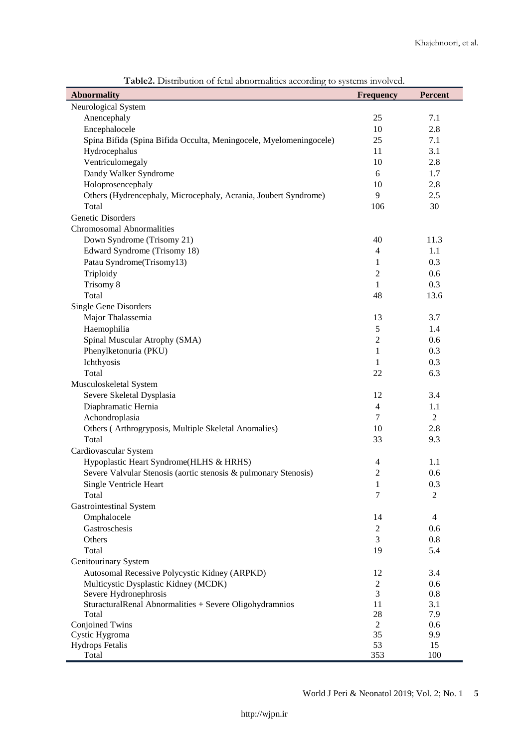| <b>Abnormality</b>                                                 | to opportune movement.<br><b>Frequency</b> | Percent        |
|--------------------------------------------------------------------|--------------------------------------------|----------------|
| Neurological System                                                |                                            |                |
| Anencephaly                                                        | 25                                         | 7.1            |
| Encephalocele                                                      | 10                                         | 2.8            |
| Spina Bifida (Spina Bifida Occulta, Meningocele, Myelomeningocele) | 25                                         | 7.1            |
| Hydrocephalus                                                      | 11                                         | 3.1            |
| Ventriculomegaly                                                   | 10                                         | 2.8            |
| Dandy Walker Syndrome                                              | 6                                          | 1.7            |
| Holoprosencephaly                                                  | 10                                         | 2.8            |
| Others (Hydrencephaly, Microcephaly, Acrania, Joubert Syndrome)    | 9                                          | 2.5            |
| Total                                                              | 106                                        | 30             |
| Genetic Disorders                                                  |                                            |                |
| <b>Chromosomal Abnormalities</b>                                   |                                            |                |
| Down Syndrome (Trisomy 21)                                         | 40                                         | 11.3           |
| Edward Syndrome (Trisomy 18)                                       | $\overline{4}$                             | 1.1            |
| Patau Syndrome(Trisomy13)                                          | 1                                          | 0.3            |
| Triploidy                                                          | $\mathbf{2}$                               | 0.6            |
| Trisomy 8                                                          | 1                                          | 0.3            |
| Total                                                              | 48                                         | 13.6           |
| <b>Single Gene Disorders</b>                                       |                                            |                |
| Major Thalassemia                                                  | 13                                         | 3.7            |
| Haemophilia                                                        | 5                                          | 1.4            |
| Spinal Muscular Atrophy (SMA)                                      | $\sqrt{2}$                                 | 0.6            |
| Phenylketonuria (PKU)                                              | $\mathbf{1}$                               | 0.3            |
| Ichthyosis                                                         | 1                                          | 0.3            |
| Total                                                              | 22                                         | 6.3            |
| Musculoskeletal System                                             |                                            |                |
| Severe Skeletal Dysplasia                                          | 12                                         | 3.4            |
| Diaphramatic Hernia                                                | 4                                          | 1.1            |
| Achondroplasia                                                     | $\tau$                                     | $\overline{2}$ |
| Others (Arthrogryposis, Multiple Skeletal Anomalies)               | 10                                         | 2.8            |
| Total                                                              | 33                                         | 9.3            |
| Cardiovascular System                                              |                                            |                |
| Hypoplastic Heart Syndrome(HLHS & HRHS)                            | 4                                          | 1.1            |
| Severe Valvular Stenosis (aortic stenosis & pulmonary Stenosis)    | $\overline{2}$                             | 0.6            |
| Single Ventricle Heart                                             | 1                                          | 0.3            |
| Total                                                              | 7                                          | $\overline{2}$ |
| <b>Gastrointestinal System</b>                                     |                                            |                |
| Omphalocele                                                        | 14                                         | $\overline{4}$ |
| Gastroschesis                                                      | $\overline{c}$                             | 0.6            |
| Others                                                             | 3                                          | 0.8            |
| Total                                                              | 19                                         | 5.4            |
| Genitourinary System                                               |                                            |                |
| Autosomal Recessive Polycystic Kidney (ARPKD)                      | 12                                         | 3.4            |
| Multicystic Dysplastic Kidney (MCDK)                               | 2                                          | 0.6            |
| Severe Hydronephrosis                                              | 3                                          | 0.8            |
| SturacturalRenal Abnormalities + Severe Oligohydramnios            | 11                                         | 3.1            |
| Total                                                              | 28                                         | 7.9            |
| Conjoined Twins                                                    | $\overline{2}$                             | 0.6            |
| Cystic Hygroma                                                     | 35<br>53                                   | 9.9<br>15      |
| <b>Hydrops Fetalis</b><br>Total                                    | 353                                        | 100            |
|                                                                    |                                            |                |

**Table2.** Distribution of fetal abnormalities according to systems involved.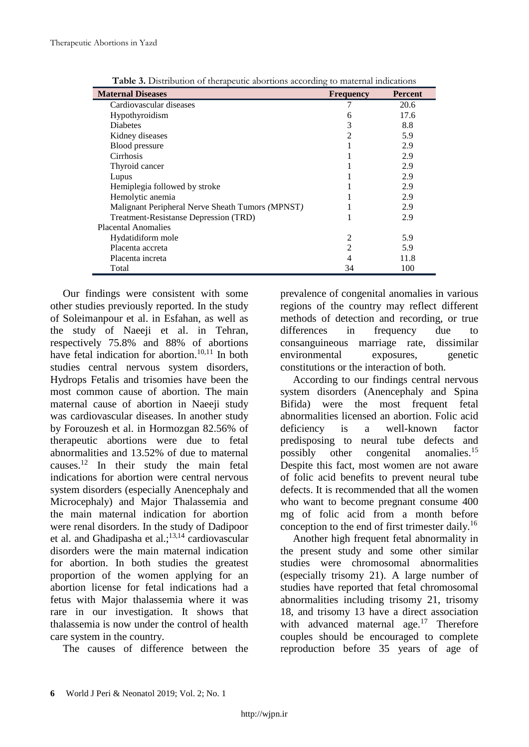| <b>Maternal Diseases</b>                         | ↩<br><b>Frequency</b> | <b>Percent</b> |
|--------------------------------------------------|-----------------------|----------------|
| Cardiovascular diseases                          |                       | 20.6           |
| Hypothyroidism                                   | 6                     | 17.6           |
| <b>Diabetes</b>                                  | 3                     | 8.8            |
| Kidney diseases                                  | 2                     | 5.9            |
| Blood pressure                                   |                       | 2.9            |
| Cirrhosis                                        |                       | 2.9            |
| Thyroid cancer                                   |                       | 2.9            |
| Lupus                                            |                       | 2.9            |
| Hemiplegia followed by stroke                    |                       | 2.9            |
| Hemolytic anemia                                 |                       | 2.9            |
| Malignant Peripheral Nerve Sheath Tumors (MPNST) |                       | 2.9            |
| Treatment-Resistanse Depression (TRD)            |                       | 2.9            |
| <b>Placental Anomalies</b>                       |                       |                |
| Hydatidiform mole                                |                       | 5.9            |
| Placenta accreta                                 | 2                     | 5.9            |
| Placenta increta                                 |                       | 11.8           |
| Total                                            | 34                    | 100            |

**Table 3.** Distribution of therapeutic abortions according to maternal indications

Our findings were consistent with some other studies previously reported. In the study of Soleimanpour et al. in Esfahan, as well as the study of Naeeji et al. in Tehran, respectively 75.8% and 88% of abortions have fetal indication for abortion.<sup>10,11</sup> In both studies central nervous system disorders, Hydrops Fetalis and trisomies have been the most common cause of abortion. The main maternal cause of abortion in Naeeji study was cardiovascular diseases. In another study by Forouzesh et al. in Hormozgan 82.56% of therapeutic abortions were due to fetal abnormalities and 13.52% of due to maternal causes.<sup>12</sup> In their study the main fetal indications for abortion were central nervous system disorders (especially Anencephaly and Microcephaly) and Major Thalassemia and the main maternal indication for abortion were renal disorders. In the study of Dadipoor et al. and Ghadipasha et al.; $13,14$  cardiovascular disorders were the main maternal indication for abortion. In both studies the greatest proportion of the women applying for an abortion license for fetal indications had a fetus with Major thalassemia where it was rare in our investigation. It shows that thalassemia is now under the control of health care system in the country.

The causes of difference between the

prevalence of congenital anomalies in various regions of the country may reflect different methods of detection and recording, or true differences in frequency due to consanguineous marriage rate, dissimilar environmental exposures, genetic constitutions or the interaction of both.

According to our findings central nervous system disorders (Anencephaly and Spina Bifida) were the most frequent fetal abnormalities licensed an abortion. Folic acid deficiency is a well-known factor predisposing to neural tube defects and possibly other congenital anomalies.<sup>15</sup> Despite this fact, most women are not aware of folic acid benefits to prevent neural tube defects. It is recommended that all the women who want to become pregnant consume 400 mg of folic acid from a month before conception to the end of first trimester daily.<sup>16</sup>

Another high frequent fetal abnormality in the present study and some other similar studies were chromosomal abnormalities (especially trisomy 21). A large number of studies have reported that fetal chromosomal abnormalities including trisomy 21, trisomy 18, and trisomy 13 have a direct association with advanced maternal age.<sup>17</sup> Therefore couples should be encouraged to complete reproduction before 35 years of age of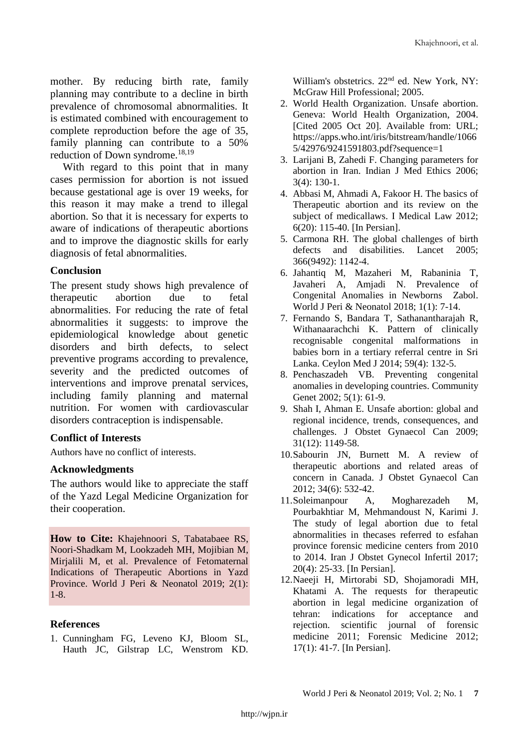mother. By reducing birth rate, family planning may contribute to a decline in birth prevalence of chromosomal abnormalities. It is estimated combined with encouragement to complete reproduction before the age of 35, family planning can contribute to a 50% reduction of Down syndrome.<sup>18,19</sup>

With regard to this point that in many cases permission for abortion is not issued because gestational age is over 19 weeks, for this reason it may make a trend to illegal abortion. So that it is necessary for experts to aware of indications of therapeutic abortions and to improve the diagnostic skills for early diagnosis of fetal abnormalities.

# **Conclusion**

The present study shows high prevalence of therapeutic abortion due to fetal abnormalities. For reducing the rate of fetal abnormalities it suggests: to improve the epidemiological knowledge about genetic disorders and birth defects, to select preventive programs according to prevalence, severity and the predicted outcomes of interventions and improve prenatal services, including family planning and maternal nutrition. For women with cardiovascular disorders contraception is indispensable.

## **Conflict of Interests**

Authors have no conflict of interests.

### **Acknowledgments**

The authors would like to appreciate the staff of the Yazd Legal Medicine Organization for their cooperation.

**How to Cite:** Khajehnoori S, Tabatabaee RS, Noori-Shadkam M, Lookzadeh MH, Mojibian M, Mirjalili M, et al. Prevalence of Fetomaternal Indications of Therapeutic Abortions in Yazd Province. World J Peri & Neonatol 2019; 2(1): 1-8.

## **References**

1. Cunningham FG, Leveno KJ, Bloom SL, Hauth JC, Gilstrap LC, Wenstrom KD. William's obstetrics. 22<sup>nd</sup> ed. New York, NY: McGraw Hill Professional; 2005.

- 2. World Health Organization. Unsafe abortion. Geneva: World Health Organization, 2004. [Cited 2005 Oct 20]. Available from: URL; https://apps.who.int/iris/bitstream/handle/1066 5/42976/9241591803.pdf?sequence=1
- 3. Larijani B, Zahedi F. Changing parameters for abortion in Iran. Indian J Med Ethics 2006;  $3(4)$ : 130-1.
- 4. Abbasi M, Ahmadi A, Fakoor H. The basics of Therapeutic abortion and its review on the subject of medicallaws. I Medical Law 2012; 6(20): 115-40. [In Persian].
- 5. Carmona RH. The global challenges of birth defects and disabilities. Lancet 2005; 366(9492): 1142-4.
- 6. Jahantiq M, Mazaheri M, Rabaninia T, Javaheri A, Amjadi N. Prevalence of Congenital Anomalies in Newborns Zabol. World J Peri & Neonatol 2018; 1(1): 7-14.
- 7. Fernando S, Bandara T, Sathanantharajah R, Withanaarachchi K. Pattern of clinically recognisable congenital malformations in babies born in a tertiary referral centre in Sri Lanka. Ceylon Med J 2014; 59(4): 132-5.
- 8. Penchaszadeh VB. Preventing congenital anomalies in developing countries. [Community](https://www.ncbi.nlm.nih.gov/pubmed/14960901)  [Genet](https://www.ncbi.nlm.nih.gov/pubmed/14960901) 2002; 5(1): 61-9.
- 9. Shah I, Ahman E. Unsafe abortion: global and regional incidence, trends, consequences, and challenges. J Obstet Gynaecol Can 2009; 31(12): 1149-58.
- 10.Sabourin JN, Burnett M. A review of therapeutic abortions and related areas of concern in Canada. J Obstet Gynaecol Can 2012; 34(6): 532-42.
- 11.Soleimanpour A, Mogharezadeh M, Pourbakhtiar M, Mehmandoust N, Karimi J. The study of legal abortion due to fetal abnormalities in thecases referred to esfahan province forensic medicine centers from 2010 to 2014. Iran J Obstet Gynecol Infertil 2017; 20(4): 25-33. [In Persian].
- 12.Naeeji H, Mirtorabi SD, Shojamoradi MH, Khatami A. The requests for therapeutic abortion in legal medicine organization of tehran: indications for acceptance and rejection. [scientific journal of forensic](https://www.sid.ir/En/Journal/JournalList.aspx?ID=3723)  [medicine](https://www.sid.ir/En/Journal/JournalList.aspx?ID=3723) [2011; Forensic Medicine 2012;](https://www.sid.ir/En/Journal/JournalListPaper.aspx?ID=120040)  [17\(1\): 4](https://www.sid.ir/En/Journal/JournalListPaper.aspx?ID=120040)1-7. [In Persian].